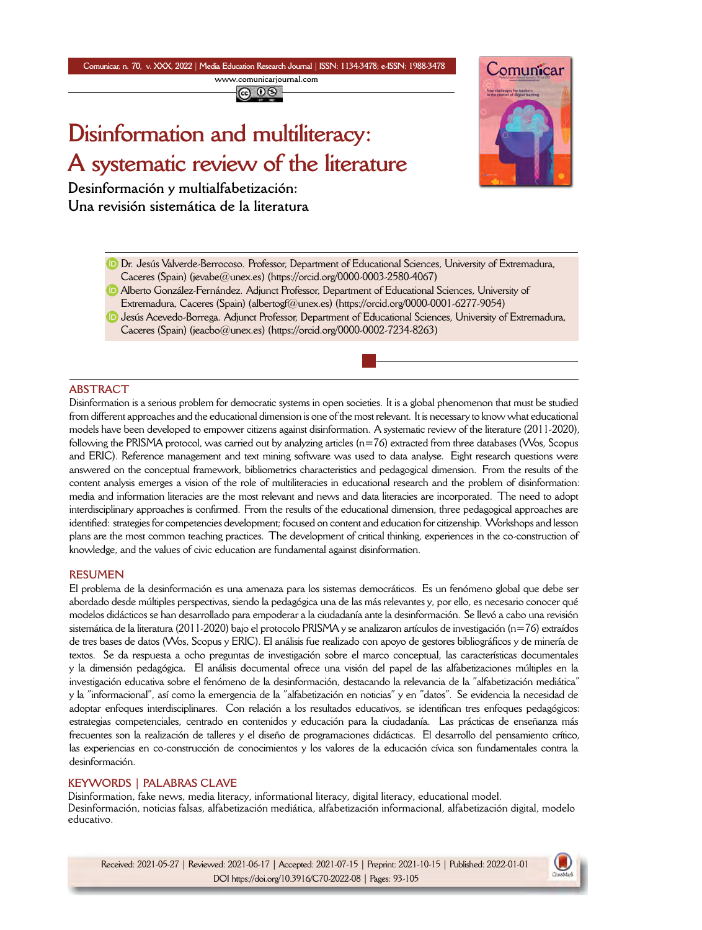**Comunicar, n. 70, v. XXX, 2022** *|* **Media Education Research Journal** *|* **ISSN: 1134-3478; e-ISSN: 1988-3478 <www.comunicarjournal.com>**

@ 0ම

# **Disinformation and multiliteracy: A systematic review of the literature**

**Desinformación y multialfabetización: Una revisión sistemática de la literatura**



- Dr. Jesús Valverde-Berrocoso. Professor, Department of Educational Sciences, University of Extremadura, Caceres (Spain) ([jevabe@unex.es](mailto:jevabe@unex.es)) (<https://orcid.org/0000-0003-2580-4067>)
- **D** Alberto González-Fernández. Adjunct Professor, Department of Educational Sciences, University of Extremadura, Caceres (Spain) [\(albertogf@unex.es\)](mailto:albertogf@unex.es) (<https://orcid.org/0000-0001-6277-9054>)
- **D** Jesús Acevedo-Borrega. Adjunct Professor, Department of Educational Sciences, University of Extremadura, Caceres (Spain) ([jeacbo@unex.es](mailto:jeacbo@unex.es)) [\(https://orcid.org/0000-0002-7234-8263\)](https://orcid.org/0000-0002-7234-8263)

# **ABSTRACT**

Disinformation is a serious problem for democratic systems in open societies. It is a global phenomenon that must be studied from different approaches and the educational dimension is one of the most relevant. It is necessary to know what educational models have been developed to empower citizens against disinformation. A systematic review of the literature (2011-2020), following the PRISMA protocol, was carried out by analyzing articles ( $n=76$ ) extracted from three databases (Wos, Scopus and ERIC). Reference management and text mining software was used to data analyse. Eight research questions were answered on the conceptual framework, bibliometrics characteristics and pedagogical dimension. From the results of the content analysis emerges a vision of the role of multiliteracies in educational research and the problem of disinformation: media and information literacies are the most relevant and news and data literacies are incorporated. The need to adopt interdisciplinary approaches is confirmed. From the results of the educational dimension, three pedagogical approaches are identified: strategies for competencies development; focused on content and education for citizenship. Workshops and lesson plans are the most common teaching practices. The development of critical thinking, experiences in the co-construction of knowledge, and the values of civic education are fundamental against disinformation.

#### **RESUMEN**

El problema de la desinformación es una amenaza para los sistemas democráticos. Es un fenómeno global que debe ser abordado desde múltiples perspectivas, siendo la pedagógica una de las más relevantes y, por ello, es necesario conocer qué modelos didácticos se han desarrollado para empoderar a la ciudadanía ante la desinformación. Se llevó a cabo una revisión sistemática de la literatura (2011-2020) bajo el protocolo PRISMA y se analizaron artículos de investigación (n=76) extraídos de tres bases de datos (Wos, Scopus y ERIC). El análisis fue realizado con apoyo de gestores bibliográficos y de minería de textos. Se da respuesta a ocho preguntas de investigación sobre el marco conceptual, las características documentales y la dimensión pedagógica. El análisis documental ofrece una visión del papel de las alfabetizaciones múltiples en la investigación educativa sobre el fenómeno de la desinformación, destacando la relevancia de la "alfabetización mediática" y la "informacional", así como la emergencia de la "alfabetización en noticias" y en "datos". Se evidencia la necesidad de adoptar enfoques interdisciplinares. Con relación a los resultados educativos, se identifican tres enfoques pedagógicos: estrategias competenciales, centrado en contenidos y educación para la ciudadanía. Las prácticas de enseñanza más frecuentes son la realización de talleres y el diseño de programaciones didácticas. El desarrollo del pensamiento crítico, las experiencias en co-construcción de conocimientos y los valores de la educación cívica son fundamentales contra la desinformación.

#### **KEYWORDS | PALABRAS CLAVE**

Disinformation, fake news, media literacy, informational literacy, digital literacy, educational model. Desinformación, noticias falsas, alfabetización mediática, alfabetización informacional, alfabetización digital, modelo educativo.

Received: 2021-05-27 | Reviewed: 2021-06-17 | Accepted: 2021-07-15 | Preprint: 2021-10-15 | Published: 2022-01-01 DOI https://doi.org/10.3916/C70-2022-08 | Pages: 93-105

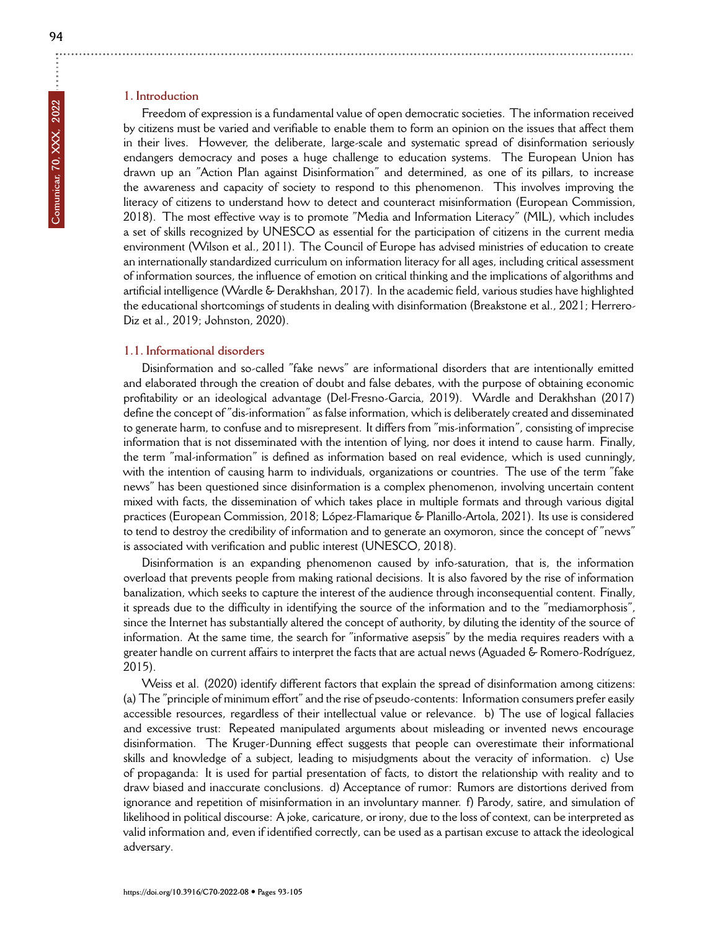# **1. Introduction**

Freedom of expression is a fundamental value of open democratic societies. The information received by citizens must be varied and verifiable to enable them to form an opinion on the issues that affect them in their lives. However, the deliberate, large-scale and systematic spread of disinformation seriously endangers democracy and poses a huge challenge to education systems. The European Union has drawn up an "Action Plan against Disinformation" and determined, as one of its pillars, to increase the awareness and capacity of society to respond to this phenomenon. This involves improving the literacy of citizens to understand how to detect and counteract misinformation (European Commission, 2018). The most effective way is to promote "Media and Information Literacy" (MIL), which includes a set of skills recognized by UNESCO as essential for the participation of citizens in the current media environment (Wilson et al., 2011). The Council of Europe has advised ministries of education to create an internationally standardized curriculum on information literacy for all ages, including critical assessment of information sources, the influence of emotion on critical thinking and the implications of algorithms and artificial intelligence (Wardle & Derakhshan, 2017). In the academic field, various studies have highlighted the educational shortcomings of students in dealing with disinformation (Breakstone et al., 2021; Herrero-Diz et al., 2019; Johnston, 2020).

#### **1.1. Informational disorders**

Disinformation and so-called "fake news" are informational disorders that are intentionally emitted and elaborated through the creation of doubt and false debates, with the purpose of obtaining economic profitability or an ideological advantage (Del-Fresno-Garcia, 2019). Wardle and Derakhshan (2017) define the concept of "dis-information" as false information, which is deliberately created and disseminated to generate harm, to confuse and to misrepresent. It differs from "mis-information", consisting of imprecise information that is not disseminated with the intention of lying, nor does it intend to cause harm. Finally, the term "mal-information" is defined as information based on real evidence, which is used cunningly, with the intention of causing harm to individuals, organizations or countries. The use of the term "fake news" has been questioned since disinformation is a complex phenomenon, involving uncertain content mixed with facts, the dissemination of which takes place in multiple formats and through various digital practices (European Commission, 2018; López-Flamarique & Planillo-Artola, 2021). Its use is considered to tend to destroy the credibility of information and to generate an oxymoron, since the concept of "news" is associated with verification and public interest (UNESCO, 2018).

Disinformation is an expanding phenomenon caused by info-saturation, that is, the information overload that prevents people from making rational decisions. It is also favored by the rise of information banalization, which seeks to capture the interest of the audience through inconsequential content. Finally, it spreads due to the difficulty in identifying the source of the information and to the "mediamorphosis", since the Internet has substantially altered the concept of authority, by diluting the identity of the source of information. At the same time, the search for "informative asepsis" by the media requires readers with a greater handle on current affairs to interpret the facts that are actual news (Aguaded & Romero-Rodríguez, 2015).

Weiss et al. (2020) identify different factors that explain the spread of disinformation among citizens: (a) The "principle of minimum effort" and the rise of pseudo-contents: Information consumers prefer easily accessible resources, regardless of their intellectual value or relevance. b) The use of logical fallacies and excessive trust: Repeated manipulated arguments about misleading or invented news encourage disinformation. The Kruger-Dunning effect suggests that people can overestimate their informational skills and knowledge of a subject, leading to misjudgments about the veracity of information. c) Use of propaganda: It is used for partial presentation of facts, to distort the relationship with reality and to draw biased and inaccurate conclusions. d) Acceptance of rumor: Rumors are distortions derived from ignorance and repetition of misinformation in an involuntary manner. f) Parody, satire, and simulation of likelihood in political discourse: A joke, caricature, or irony, due to the loss of context, can be interpreted as valid information and, even if identified correctly, can be used as a partisan excuse to attack the ideological adversary.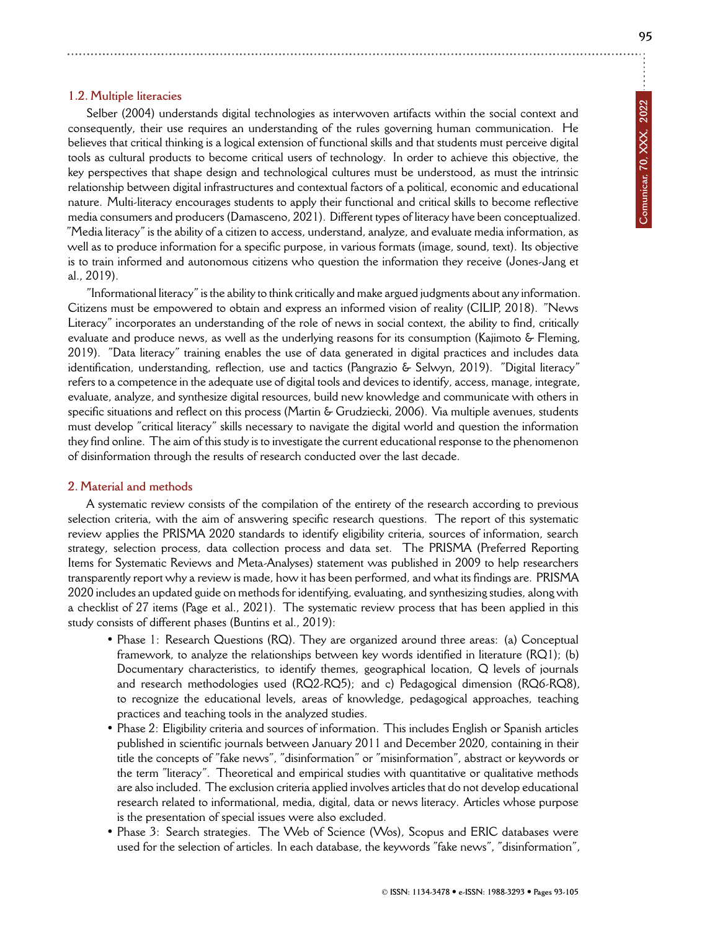## **1.2. Multiple literacies**

Selber (2004) understands digital technologies as interwoven artifacts within the social context and consequently, their use requires an understanding of the rules governing human communication. He believes that critical thinking is a logical extension of functional skills and that students must perceive digital tools as cultural products to become critical users of technology. In order to achieve this objective, the key perspectives that shape design and technological cultures must be understood, as must the intrinsic relationship between digital infrastructures and contextual factors of a political, economic and educational nature. Multi-literacy encourages students to apply their functional and critical skills to become reflective media consumers and producers (Damasceno, 2021). Different types of literacy have been conceptualized. "Media literacy" is the ability of a citizen to access, understand, analyze, and evaluate media information, as well as to produce information for a specific purpose, in various formats (image, sound, text). Its objective is to train informed and autonomous citizens who question the information they receive (Jones-Jang et al., 2019).

"Informational literacy" is the ability to think critically and make argued judgments about any information. Citizens must be empowered to obtain and express an informed vision of reality (CILIP, 2018). "News Literacy" incorporates an understanding of the role of news in social context, the ability to find, critically evaluate and produce news, as well as the underlying reasons for its consumption (Kajimoto & Fleming, 2019). "Data literacy" training enables the use of data generated in digital practices and includes data identification, understanding, reflection, use and tactics (Pangrazio & Selwyn, 2019). "Digital literacy" refers to a competence in the adequate use of digital tools and devices to identify, access, manage, integrate, evaluate, analyze, and synthesize digital resources, build new knowledge and communicate with others in specific situations and reflect on this process (Martin & Grudziecki, 2006). Via multiple avenues, students must develop "critical literacy" skills necessary to navigate the digital world and question the information they find online. The aim of this study is to investigate the current educational response to the phenomenon of disinformation through the results of research conducted over the last decade.

#### **2. Material and methods**

A systematic review consists of the compilation of the entirety of the research according to previous selection criteria, with the aim of answering specific research questions. The report of this systematic review applies the PRISMA 2020 standards to identify eligibility criteria, sources of information, search strategy, selection process, data collection process and data set. The PRISMA (Preferred Reporting Items for Systematic Reviews and Meta-Analyses) statement was published in 2009 to help researchers transparently report why a review is made, how it has been performed, and what its findings are. PRISMA 2020 includes an updated guide on methods for identifying, evaluating, and synthesizing studies, along with a checklist of 27 items (Page et al., 2021). The systematic review process that has been applied in this study consists of different phases (Buntins et al., 2019):

- Phase 1: Research Questions (RQ). They are organized around three areas: (a) Conceptual framework, to analyze the relationships between key words identified in literature (RQ1); (b) Documentary characteristics, to identify themes, geographical location, Q levels of journals and research methodologies used (RQ2-RQ5); and c) Pedagogical dimension (RQ6-RQ8), to recognize the educational levels, areas of knowledge, pedagogical approaches, teaching practices and teaching tools in the analyzed studies.
- Phase 2: Eligibility criteria and sources of information. This includes English or Spanish articles published in scientific journals between January 2011 and December 2020, containing in their title the concepts of "fake news", "disinformation" or "misinformation", abstract or keywords or the term "literacy". Theoretical and empirical studies with quantitative or qualitative methods are also included. The exclusion criteria applied involves articles that do not develop educational research related to informational, media, digital, data or news literacy. Articles whose purpose is the presentation of special issues were also excluded.
- Phase 3: Search strategies. The Web of Science (Wos), Scopus and ERIC databases were used for the selection of articles. In each database, the keywords "fake news", "disinformation",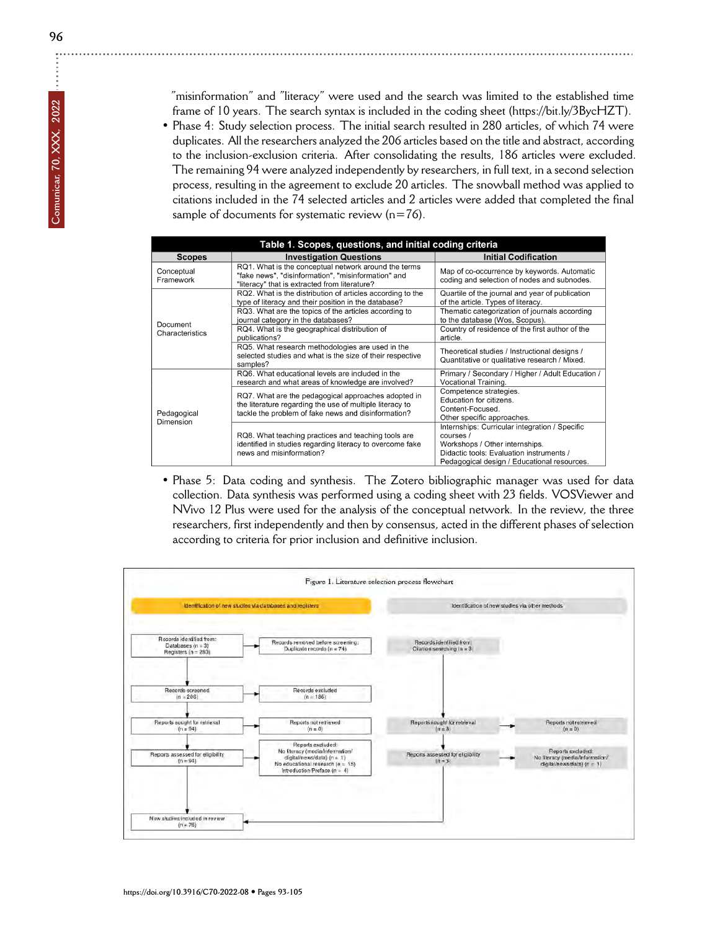• Phase 4: Study selection process. The initial search resulted in 280 articles, of which 74 were duplicates. All the researchers analyzed the 206 articles based on the title and abstract, according to the inclusion-exclusion criteria. After consolidating the results, 186 articles were excluded. The remaining 94 were analyzed independently by researchers, in full text, in a second selection process, resulting in the agreement to exclude 20 articles. The snowball method was applied to citations included in the 74 selected articles and 2 articles were added that completed the final sample of documents for systematic review  $(n=76)$ .

| Table 1. Scopes, questions, and initial coding criteria |                                                                                                                                                                        |                                                                                                                                                                                          |  |  |  |  |
|---------------------------------------------------------|------------------------------------------------------------------------------------------------------------------------------------------------------------------------|------------------------------------------------------------------------------------------------------------------------------------------------------------------------------------------|--|--|--|--|
| <b>Scopes</b>                                           | <b>Investigation Questions</b>                                                                                                                                         | <b>Initial Codification</b>                                                                                                                                                              |  |  |  |  |
| Conceptual<br>Framework                                 | RQ1. What is the conceptual network around the terms<br>"fake news", "disinformation", "misinformation" and<br>"literacy" that is extracted from literature?           | Map of co-occurrence by keywords. Automatic<br>coding and selection of nodes and subnodes.                                                                                               |  |  |  |  |
|                                                         | RQ2. What is the distribution of articles according to the<br>type of literacy and their position in the database?                                                     | Quartile of the journal and year of publication<br>of the article. Types of literacy.                                                                                                    |  |  |  |  |
| Document<br>Characteristics                             | RQ3. What are the topics of the articles according to<br>journal category in the databases?                                                                            | Thematic categorization of journals according<br>to the database (Wos, Scopus).                                                                                                          |  |  |  |  |
|                                                         | RQ4. What is the geographical distribution of<br>publications?                                                                                                         | Country of residence of the first author of the<br>article.                                                                                                                              |  |  |  |  |
|                                                         | RQ5. What research methodologies are used in the<br>selected studies and what is the size of their respective<br>samples?                                              | Theoretical studies / Instructional designs /<br>Quantitative or qualitative research / Mixed.                                                                                           |  |  |  |  |
| Pedagogical<br>Dimension                                | RQ6. What educational levels are included in the<br>research and what areas of knowledge are involved?                                                                 | Primary / Secondary / Higher / Adult Education /<br>Vocational Training.                                                                                                                 |  |  |  |  |
|                                                         | RQ7. What are the pedagogical approaches adopted in<br>the literature regarding the use of multiple literacy to<br>tackle the problem of fake news and disinformation? | Competence strategies.<br>Education for citizens.<br>Content-Focused.<br>Other specific approaches.                                                                                      |  |  |  |  |
|                                                         | RQ8. What teaching practices and teaching tools are<br>identified in studies regarding literacy to overcome fake<br>news and misinformation?                           | Internships: Curricular integration / Specific<br>courses /<br>Workshops / Other internships.<br>Didactic tools: Evaluation instruments /<br>Pedagogical design / Educational resources. |  |  |  |  |

• Phase 5: Data coding and synthesis. The Zotero bibliographic manager was used for data collection. Data synthesis was performed using a coding sheet with 23 fields. VOSViewer and NVivo 12 Plus were used for the analysis of the conceptual network. In the review, the three researchers, first independently and then by consensus, acted in the different phases of selection according to criteria for prior inclusion and definitive inclusion.



 $\vdots$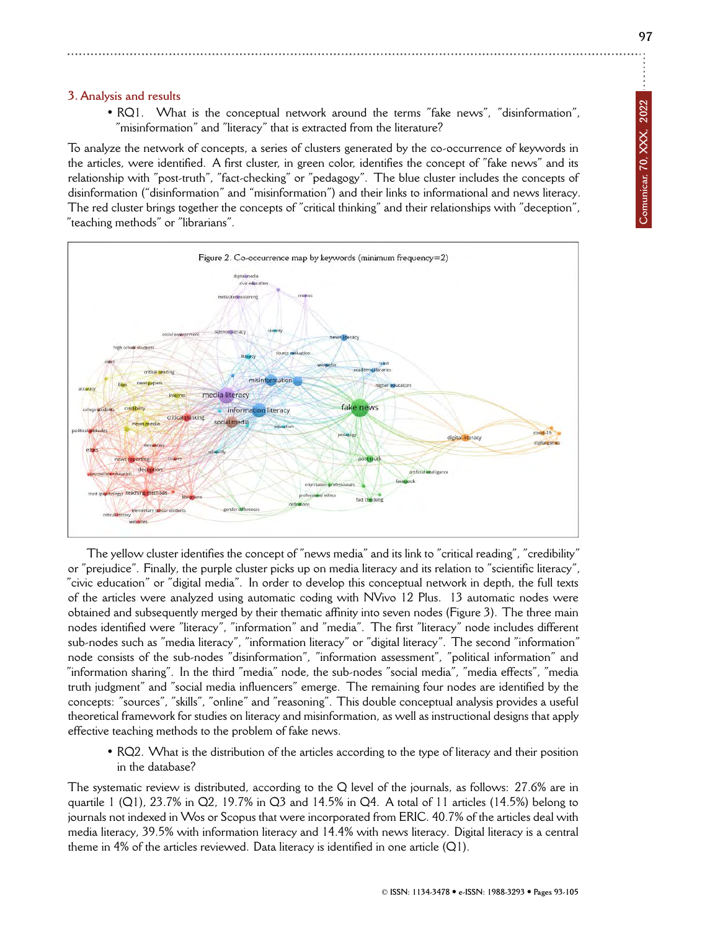**97**

# **3. Analysis and results**

• RQ1. What is the conceptual network around the terms "fake news", "disinformation", "misinformation" and "literacy" that is extracted from the literature?

To analyze the network of concepts, a series of clusters generated by the co-occurrence of keywords in the articles, were identified. A first cluster, in green color, identifies the concept of "fake news" and its relationship with "post-truth", "fact-checking" or "pedagogy". The blue cluster includes the concepts of disinformation ("disinformation" and "misinformation") and their links to informational and news literacy. The red cluster brings together the concepts of "critical thinking" and their relationships with "deception", "teaching methods" or "librarians".



The yellow cluster identifies the concept of "news media" and its link to "critical reading", "credibility" or "prejudice". Finally, the purple cluster picks up on media literacy and its relation to "scientific literacy", "civic education" or "digital media". In order to develop this conceptual network in depth, the full texts of the articles were analyzed using automatic coding with NVivo 12 Plus. 13 automatic nodes were obtained and subsequently merged by their thematic affinity into seven nodes (Figure 3). The three main nodes identified were "literacy", "information" and "media". The first "literacy" node includes different sub-nodes such as "media literacy", "information literacy" or "digital literacy". The second "information" node consists of the sub-nodes "disinformation", "information assessment", "political information" and "information sharing". In the third "media" node, the sub-nodes "social media", "media effects", "media truth judgment" and "social media influencers" emerge. The remaining four nodes are identified by the concepts: "sources", "skills", "online" and "reasoning". This double conceptual analysis provides a useful theoretical framework for studies on literacy and misinformation, as well as instructional designs that apply effective teaching methods to the problem of fake news.

• RQ2. What is the distribution of the articles according to the type of literacy and their position in the database?

The systematic review is distributed, according to the Q level of the journals, as follows: 27.6% are in quartile 1 (Q1), 23.7% in Q2, 19.7% in Q3 and 14.5% in Q4. A total of 11 articles (14.5%) belong to journals not indexed in Wos or Scopus that were incorporated from ERIC. 40.7% of the articles deal with media literacy, 39.5% with information literacy and 14.4% with news literacy. Digital literacy is a central theme in 4% of the articles reviewed. Data literacy is identified in one article (Q1).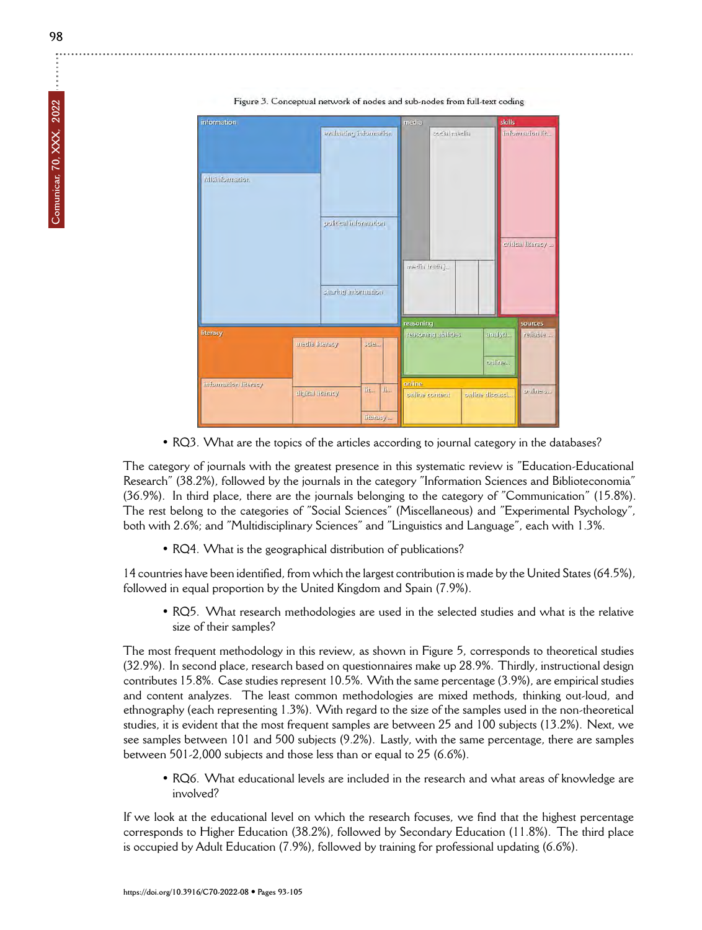$\vdots$ 

| information          |                  | media                                      |                                  | skills            |                   |
|----------------------|------------------|--------------------------------------------|----------------------------------|-------------------|-------------------|
| Misinformation       |                  | actionating information                    | suchi media                      |                   | information lite. |
|                      |                  | nehameful lisitileg<br>neitemeini prinsit: | media bruth j.,.                 |                   | erideal literacy  |
|                      |                  |                                            |                                  |                   | sources           |
| literacy             | media literacy   | seie                                       | reasoning<br>reasoning abilities | analyti<br>online | reliable          |
| information literacy | digital literacy | lit<br>Jh.                                 | online<br>online content         | online discussi   | ordine sur        |
|                      |                  | literacy                                   |                                  |                   |                   |

Figure 3. Conceptual network of nodes and sub-nodes from full-text coding

• RQ3. What are the topics of the articles according to journal category in the databases?

The category of journals with the greatest presence in this systematic review is "Education-Educational Research" (38.2%), followed by the journals in the category "Information Sciences and Biblioteconomia" (36.9%). In third place, there are the journals belonging to the category of "Communication" (15.8%). The rest belong to the categories of "Social Sciences" (Miscellaneous) and "Experimental Psychology", both with 2.6%; and "Multidisciplinary Sciences" and "Linguistics and Language", each with 1.3%.

• RQ4. What is the geographical distribution of publications?

14 countries have been identified, from which the largest contribution is made by the United States (64.5%), followed in equal proportion by the United Kingdom and Spain (7.9%).

• RQ5. What research methodologies are used in the selected studies and what is the relative size of their samples?

The most frequent methodology in this review, as shown in Figure 5, corresponds to theoretical studies (32.9%). In second place, research based on questionnaires make up 28.9%. Thirdly, instructional design contributes 15.8%. Case studies represent 10.5%. With the same percentage (3.9%), are empirical studies and content analyzes. The least common methodologies are mixed methods, thinking out-loud, and ethnography (each representing 1.3%). With regard to the size of the samples used in the non-theoretical studies, it is evident that the most frequent samples are between 25 and 100 subjects (13.2%). Next, we see samples between 101 and 500 subjects (9.2%). Lastly, with the same percentage, there are samples between 501-2,000 subjects and those less than or equal to 25 (6.6%).

• RQ6. What educational levels are included in the research and what areas of knowledge are involved?

If we look at the educational level on which the research focuses, we find that the highest percentage corresponds to Higher Education (38.2%), followed by Secondary Education (11.8%). The third place is occupied by Adult Education (7.9%), followed by training for professional updating (6.6%).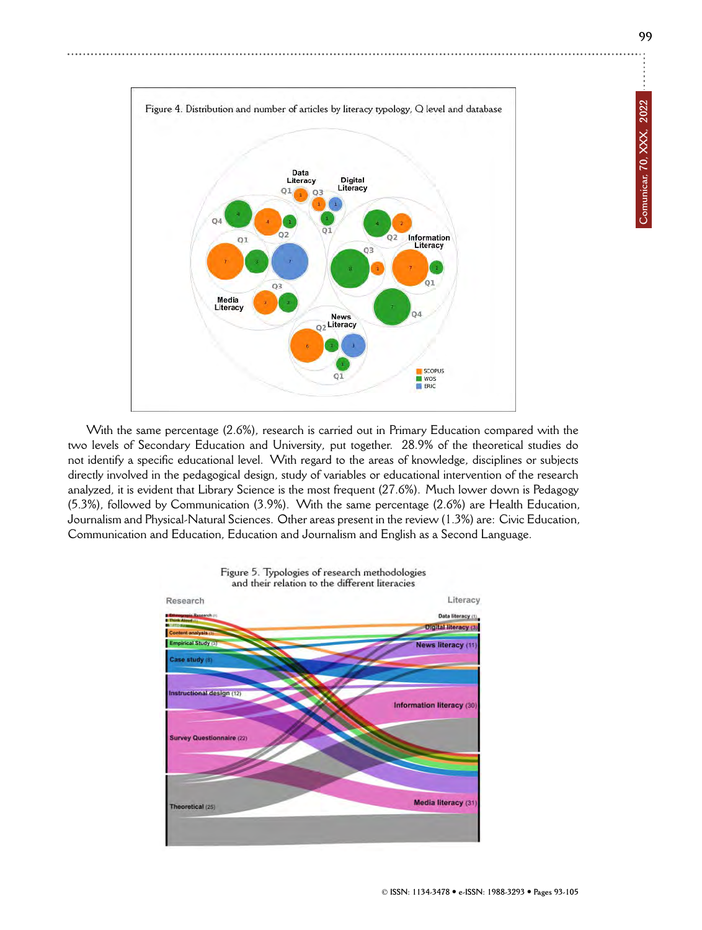**99**



With the same percentage (2.6%), research is carried out in Primary Education compared with the two levels of Secondary Education and University, put together. 28.9% of the theoretical studies do not identify a specific educational level. With regard to the areas of knowledge, disciplines or subjects directly involved in the pedagogical design, study of variables or educational intervention of the research analyzed, it is evident that Library Science is the most frequent (27.6%). Much lower down is Pedagogy (5.3%), followed by Communication (3.9%). With the same percentage (2.6%) are Health Education, Journalism and Physical-Natural Sciences. Other areas present in the review (1.3%) are: Civic Education, Communication and Education, Education and Journalism and English as a Second Language.



Figure 5. Typologies of research methodologies and their relation to the different literacies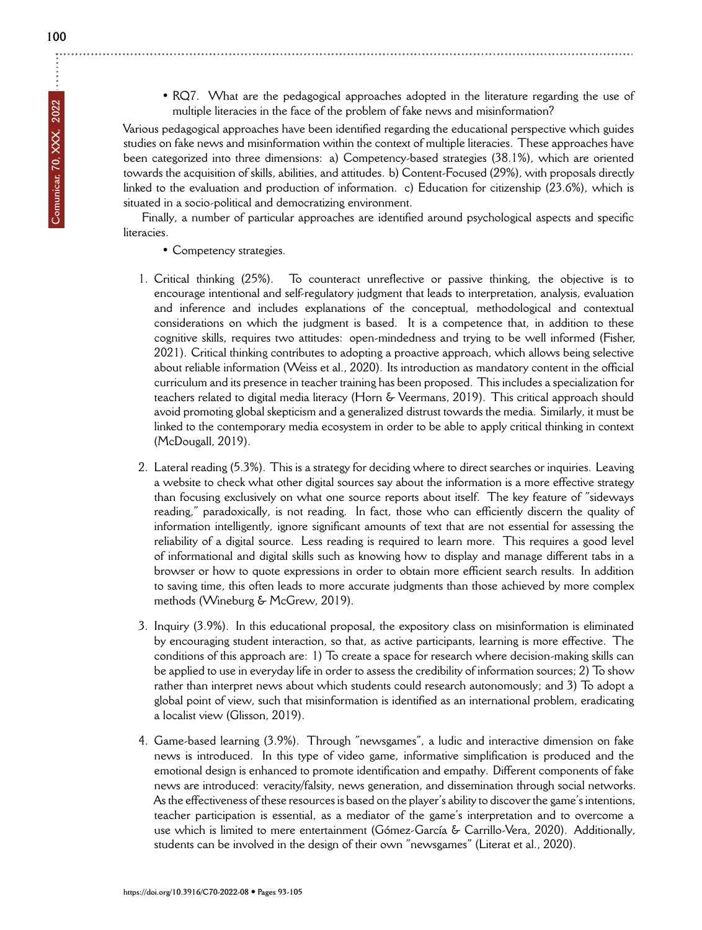$\vdots$ 

**Comunicar, 70, XXX, 2022**

Comunicar, 70, XXX, 2022

• RQ7. What are the pedagogical approaches adopted in the literature regarding the use of multiple literacies in the face of the problem of fake news and misinformation?

Various pedagogical approaches have been identified regarding the educational perspective which guides studies on fake news and misinformation within the context of multiple literacies. These approaches have been categorized into three dimensions: a) Competency-based strategies (38.1%), which are oriented towards the acquisition of skills, abilities, and attitudes. b) Content-Focused (29%), with proposals directly linked to the evaluation and production of information. c) Education for citizenship (23.6%), which is situated in a socio-political and democratizing environment.

Finally, a number of particular approaches are identified around psychological aspects and specific literacies.

- Competency strategies.
- 1. Critical thinking (25%). To counteract unreflective or passive thinking, the objective is to encourage intentional and self-regulatory judgment that leads to interpretation, analysis, evaluation and inference and includes explanations of the conceptual, methodological and contextual considerations on which the judgment is based. It is a competence that, in addition to these cognitive skills, requires two attitudes: open-mindedness and trying to be well informed (Fisher, 2021). Critical thinking contributes to adopting a proactive approach, which allows being selective about reliable information (Weiss et al., 2020). Its introduction as mandatory content in the official curriculum and its presence in teacher training has been proposed. This includes a specialization for teachers related to digital media literacy (Horn & Veermans, 2019). This critical approach should avoid promoting global skepticism and a generalized distrust towards the media. Similarly, it must be linked to the contemporary media ecosystem in order to be able to apply critical thinking in context (McDougall, 2019).
- 2. Lateral reading (5.3%). This is a strategy for deciding where to direct searches or inquiries. Leaving a website to check what other digital sources say about the information is a more effective strategy than focusing exclusively on what one source reports about itself. The key feature of "sideways reading," paradoxically, is not reading. In fact, those who can efficiently discern the quality of information intelligently, ignore significant amounts of text that are not essential for assessing the reliability of a digital source. Less reading is required to learn more. This requires a good level of informational and digital skills such as knowing how to display and manage different tabs in a browser or how to quote expressions in order to obtain more efficient search results. In addition to saving time, this often leads to more accurate judgments than those achieved by more complex methods (Wineburg & McGrew, 2019).
- 3. Inquiry (3.9%). In this educational proposal, the expository class on misinformation is eliminated by encouraging student interaction, so that, as active participants, learning is more effective. The conditions of this approach are: 1) To create a space for research where decision-making skills can be applied to use in everyday life in order to assess the credibility of information sources; 2) To show rather than interpret news about which students could research autonomously; and 3) To adopt a global point of view, such that misinformation is identified as an international problem, eradicating a localist view (Glisson, 2019).
- 4. Game-based learning (3.9%). Through "newsgames", a ludic and interactive dimension on fake news is introduced. In this type of video game, informative simplification is produced and the emotional design is enhanced to promote identification and empathy. Different components of fake news are introduced: veracity/falsity, news generation, and dissemination through social networks. As the effectiveness of these resources is based on the player's ability to discover the game's intentions, teacher participation is essential, as a mediator of the game's interpretation and to overcome a use which is limited to mere entertainment (Gómez-García & Carrillo-Vera, 2020). Additionally, students can be involved in the design of their own "newsgames" (Literat et al., 2020).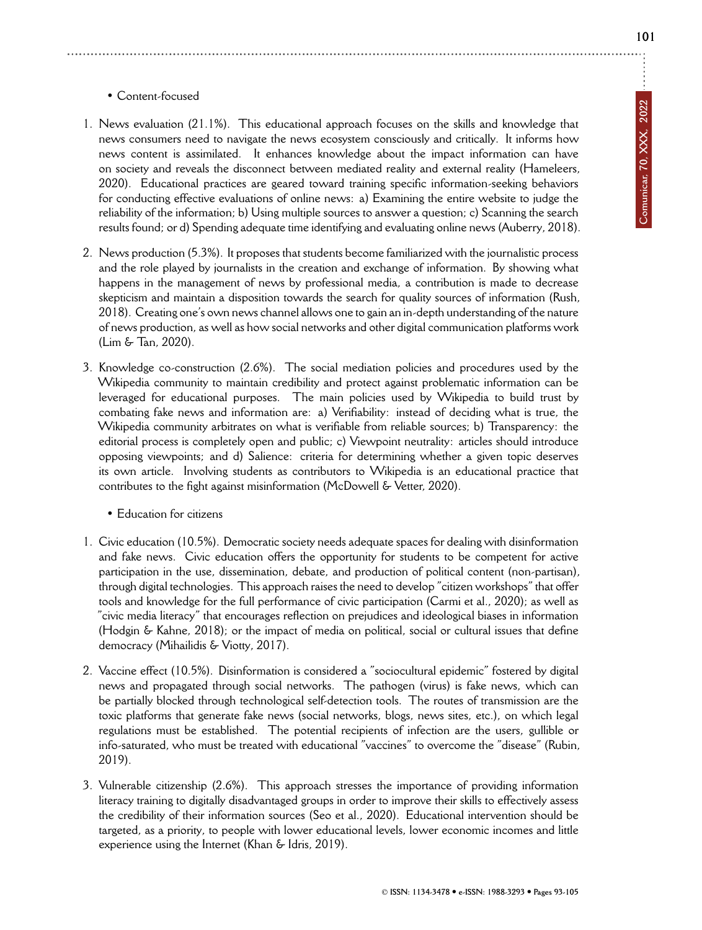# • Content-focused

- 1. News evaluation (21.1%). This educational approach focuses on the skills and knowledge that news consumers need to navigate the news ecosystem consciously and critically. It informs how news content is assimilated. It enhances knowledge about the impact information can have on society and reveals the disconnect between mediated reality and external reality (Hameleers, 2020). Educational practices are geared toward training specific information-seeking behaviors for conducting effective evaluations of online news: a) Examining the entire website to judge the reliability of the information; b) Using multiple sources to answer a question; c) Scanning the search results found; or d) Spending adequate time identifying and evaluating online news (Auberry, 2018).
- 2. News production (5.3%). It proposes that students become familiarized with the journalistic process and the role played by journalists in the creation and exchange of information. By showing what happens in the management of news by professional media, a contribution is made to decrease skepticism and maintain a disposition towards the search for quality sources of information (Rush, 2018). Creating one's own news channel allows one to gain an in-depth understanding of the nature of news production, as well as how social networks and other digital communication platforms work (Lim & Tan, 2020).
- 3. Knowledge co-construction (2.6%). The social mediation policies and procedures used by the Wikipedia community to maintain credibility and protect against problematic information can be leveraged for educational purposes. The main policies used by Wikipedia to build trust by combating fake news and information are: a) Verifiability: instead of deciding what is true, the Wikipedia community arbitrates on what is verifiable from reliable sources; b) Transparency: the editorial process is completely open and public; c) Viewpoint neutrality: articles should introduce opposing viewpoints; and d) Salience: criteria for determining whether a given topic deserves its own article. Involving students as contributors to Wikipedia is an educational practice that contributes to the fight against misinformation (McDowell & Vetter, 2020).
	- Education for citizens
- 1. Civic education (10.5%). Democratic society needs adequate spaces for dealing with disinformation and fake news. Civic education offers the opportunity for students to be competent for active participation in the use, dissemination, debate, and production of political content (non-partisan), through digital technologies. This approach raises the need to develop "citizen workshops" that offer tools and knowledge for the full performance of civic participation (Carmi et al., 2020); as well as "civic media literacy" that encourages reflection on prejudices and ideological biases in information (Hodgin & Kahne, 2018); or the impact of media on political, social or cultural issues that define democracy (Mihailidis & Viotty, 2017).
- 2. Vaccine effect (10.5%). Disinformation is considered a "sociocultural epidemic" fostered by digital news and propagated through social networks. The pathogen (virus) is fake news, which can be partially blocked through technological self-detection tools. The routes of transmission are the toxic platforms that generate fake news (social networks, blogs, news sites, etc.), on which legal regulations must be established. The potential recipients of infection are the users, gullible or info-saturated, who must be treated with educational "vaccines" to overcome the "disease" (Rubin, 2019).
- 3. Vulnerable citizenship (2.6%). This approach stresses the importance of providing information literacy training to digitally disadvantaged groups in order to improve their skills to effectively assess the credibility of their information sources (Seo et al., 2020). Educational intervention should be targeted, as a priority, to people with lower educational levels, lower economic incomes and little experience using the Internet (Khan & Idris, 2019).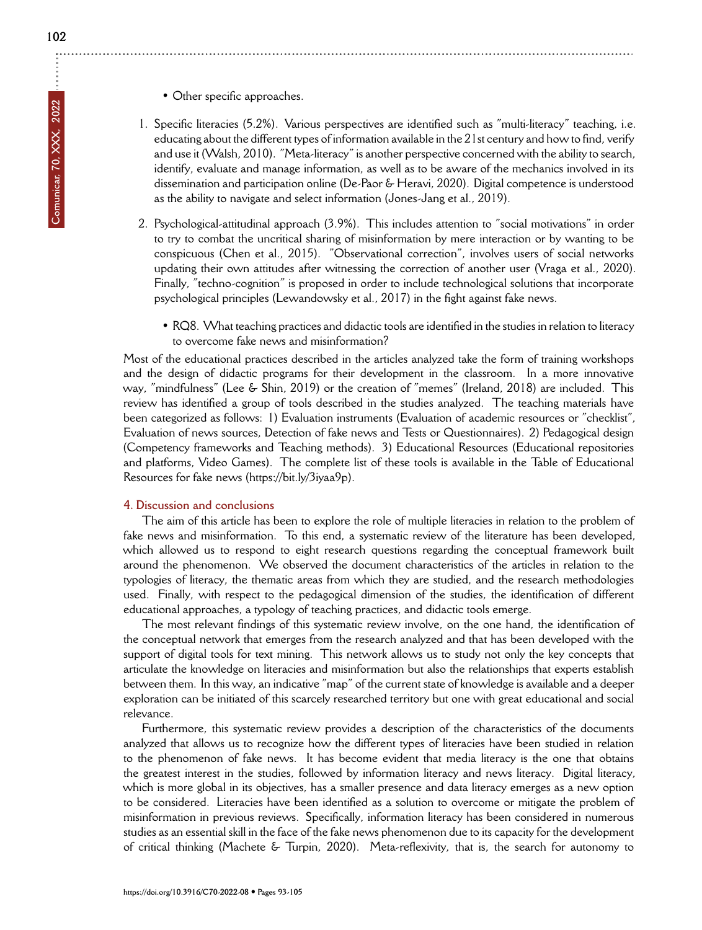- Other specific approaches.
- 1. Specific literacies (5.2%). Various perspectives are identified such as "multi-literacy" teaching, i.e. educating about the different types of information available in the 21st century and how to find, verify and use it (Walsh, 2010). "Meta-literacy" is another perspective concerned with the ability to search, identify, evaluate and manage information, as well as to be aware of the mechanics involved in its dissemination and participation online (De-Paor & Heravi, 2020). Digital competence is understood as the ability to navigate and select information (Jones-Jang et al., 2019).
- 2. Psychological-attitudinal approach (3.9%). This includes attention to "social motivations" in order to try to combat the uncritical sharing of misinformation by mere interaction or by wanting to be conspicuous (Chen et al., 2015). "Observational correction", involves users of social networks updating their own attitudes after witnessing the correction of another user (Vraga et al., 2020). Finally, "techno-cognition" is proposed in order to include technological solutions that incorporate psychological principles (Lewandowsky et al., 2017) in the fight against fake news.
	- RQ8. What teaching practices and didactic tools are identified in the studies in relation to literacy to overcome fake news and misinformation?

Most of the educational practices described in the articles analyzed take the form of training workshops and the design of didactic programs for their development in the classroom. In a more innovative way, "mindfulness" (Lee & Shin, 2019) or the creation of "memes" (Ireland, 2018) are included. This review has identified a group of tools described in the studies analyzed. The teaching materials have been categorized as follows: 1) Evaluation instruments (Evaluation of academic resources or "checklist", Evaluation of news sources, Detection of fake news and Tests or Questionnaires). 2) Pedagogical design (Competency frameworks and Teaching methods). 3) Educational Resources (Educational repositories and platforms, Video Games). The complete list of these tools is available in the Table of Educational Resources for fake news (https://bit.ly/3iyaa9p).

## **4. Discussion and conclusions**

The aim of this article has been to explore the role of multiple literacies in relation to the problem of fake news and misinformation. To this end, a systematic review of the literature has been developed, which allowed us to respond to eight research questions regarding the conceptual framework built around the phenomenon. We observed the document characteristics of the articles in relation to the typologies of literacy, the thematic areas from which they are studied, and the research methodologies used. Finally, with respect to the pedagogical dimension of the studies, the identification of different educational approaches, a typology of teaching practices, and didactic tools emerge.

The most relevant findings of this systematic review involve, on the one hand, the identification of the conceptual network that emerges from the research analyzed and that has been developed with the support of digital tools for text mining. This network allows us to study not only the key concepts that articulate the knowledge on literacies and misinformation but also the relationships that experts establish between them. In this way, an indicative "map" of the current state of knowledge is available and a deeper exploration can be initiated of this scarcely researched territory but one with great educational and social relevance.

Furthermore, this systematic review provides a description of the characteristics of the documents analyzed that allows us to recognize how the different types of literacies have been studied in relation to the phenomenon of fake news. It has become evident that media literacy is the one that obtains the greatest interest in the studies, followed by information literacy and news literacy. Digital literacy, which is more global in its objectives, has a smaller presence and data literacy emerges as a new option to be considered. Literacies have been identified as a solution to overcome or mitigate the problem of misinformation in previous reviews. Specifically, information literacy has been considered in numerous studies as an essential skill in the face of the fake news phenomenon due to its capacity for the development of critical thinking (Machete & Turpin, 2020). Meta-reflexivity, that is, the search for autonomy to

÷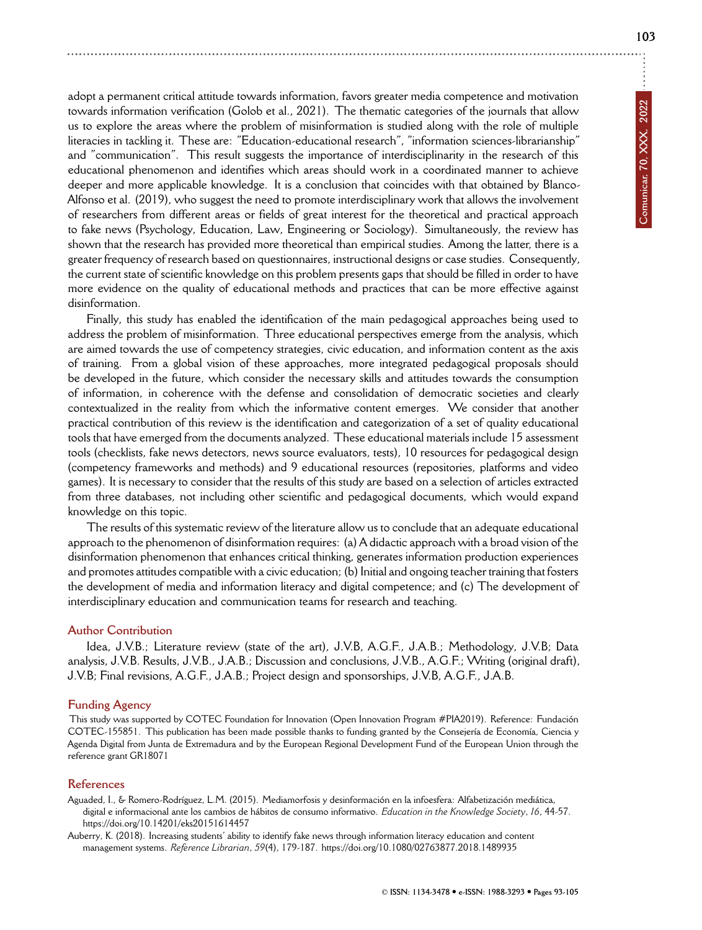adopt a permanent critical attitude towards information, favors greater media competence and motivation towards information verification (Golob et al., 2021). The thematic categories of the journals that allow us to explore the areas where the problem of misinformation is studied along with the role of multiple literacies in tackling it. These are: "Education-educational research", "information sciences-librarianship" and "communication". This result suggests the importance of interdisciplinarity in the research of this educational phenomenon and identifies which areas should work in a coordinated manner to achieve deeper and more applicable knowledge. It is a conclusion that coincides with that obtained by Blanco-Alfonso et al. (2019), who suggest the need to promote interdisciplinary work that allows the involvement of researchers from different areas or fields of great interest for the theoretical and practical approach to fake news (Psychology, Education, Law, Engineering or Sociology). Simultaneously, the review has shown that the research has provided more theoretical than empirical studies. Among the latter, there is a greater frequency of research based on questionnaires, instructional designs or case studies. Consequently, the current state of scientific knowledge on this problem presents gaps that should be filled in order to have more evidence on the quality of educational methods and practices that can be more effective against disinformation.

Finally, this study has enabled the identification of the main pedagogical approaches being used to address the problem of misinformation. Three educational perspectives emerge from the analysis, which are aimed towards the use of competency strategies, civic education, and information content as the axis of training. From a global vision of these approaches, more integrated pedagogical proposals should be developed in the future, which consider the necessary skills and attitudes towards the consumption of information, in coherence with the defense and consolidation of democratic societies and clearly contextualized in the reality from which the informative content emerges. We consider that another practical contribution of this review is the identification and categorization of a set of quality educational tools that have emerged from the documents analyzed. These educational materials include 15 assessment tools (checklists, fake news detectors, news source evaluators, tests), 10 resources for pedagogical design (competency frameworks and methods) and 9 educational resources (repositories, platforms and video games). It is necessary to consider that the results of this study are based on a selection of articles extracted from three databases, not including other scientific and pedagogical documents, which would expand knowledge on this topic.

The results of this systematic review of the literature allow us to conclude that an adequate educational approach to the phenomenon of disinformation requires: (a) A didactic approach with a broad vision of the disinformation phenomenon that enhances critical thinking, generates information production experiences and promotes attitudes compatible with a civic education; (b) Initial and ongoing teacher training that fosters the development of media and information literacy and digital competence; and (c) The development of interdisciplinary education and communication teams for research and teaching.

# **Author Contribution**

Idea, J.V.B.; Literature review (state of the art), J.V.B, A.G.F., J.A.B.; Methodology, J.V.B; Data analysis, J.V.B. Results, J.V.B., J.A.B.; Discussion and conclusions, J.V.B., A.G.F.; Writing (original draft), J.V.B; Final revisions, A.G.F., J.A.B.; Project design and sponsorships, J.V.B, A.G.F., J.A.B.

#### **Funding Agency**

This study was supported by COTEC Foundation for Innovation (Open Innovation Program #PIA2019). Reference: Fundación COTEC-155851. This publication has been made possible thanks to funding granted by the Consejería de Economía, Ciencia y Agenda Digital from Junta de Extremadura and by the European Regional Development Fund of the European Union through the reference grant GR18071

#### **References**

Aguaded, I., & Romero-Rodríguez, L.M. (2015). Mediamorfosis y desinformación en la infoesfera: Alfabetización mediática, digital e informacional ante los cambios de hábitos de consumo informativo. *Education in the Knowledge Society*, *16*, 44-57. <https://doi.org/10.14201/eks20151614457>

Auberry, K. (2018). Increasing students' ability to identify fake news through information literacy education and content management systems. *Reference Librarian*, *59*(4), 179-187.<https://doi.org/10.1080/02763877.2018.1489935>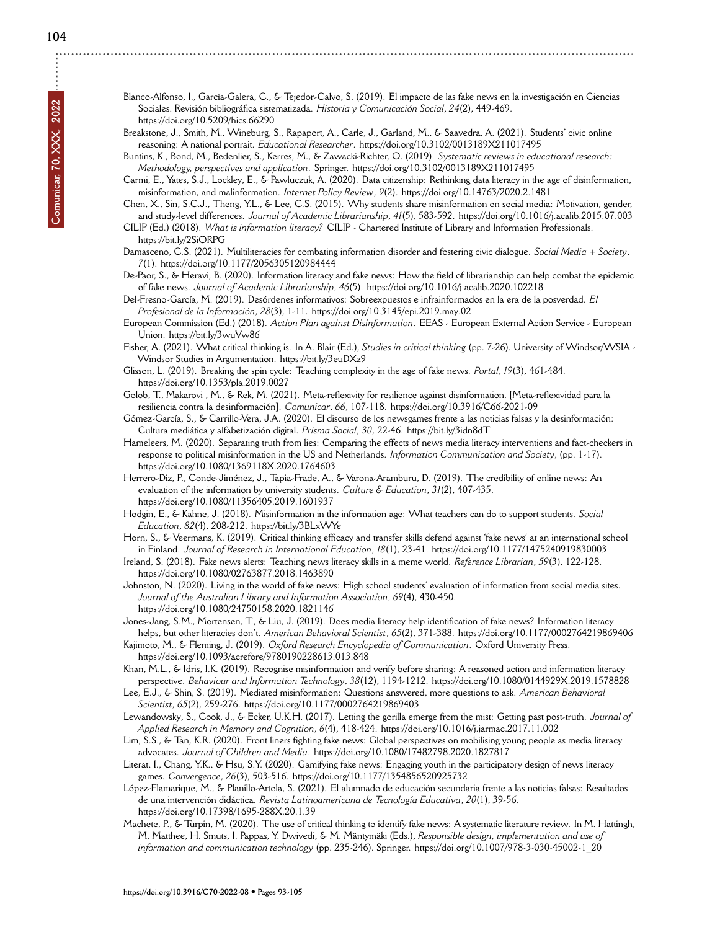- Breakstone, J., Smith, M., Wineburg, S., Rapaport, A., Carle, J., Garland, M., & Saavedra, A. (2021). Students' civic online reasoning: A national portrait. *Educational Researcher*.<https://doi.org/10.3102/0013189X211017495>
- Buntins, K., Bond, M., Bedenlier, S., Kerres, M., & Zawacki-Richter, O. (2019). *Systematic reviews in educational research: Methodology, perspectives and application*. Springer.<https://doi.org/10.3102/0013189X211017495>
- Carmi, E., Yates, S.J., Lockley, E., & Pawluczuk, A. (2020). Data citizenship: Rethinking data literacy in the age of disinformation, misinformation, and malinformation. *Internet Policy Review*, *9*(2).<https://doi.org/10.14763/2020.2.1481>

Chen, X., Sin, S.C.J., Theng, Y.L., & Lee, C.S. (2015). Why students share misinformation on social media: Motivation, gender, and study-level differences. *Journal of Academic Librarianship*, *41*(5), 583-592.<https://doi.org/10.1016/j.acalib.2015.07.003>

- CILIP (Ed.) (2018). *What is information literacy?* CILIP Chartered Institute of Library and Information Professionals. <https://bit.ly/2SiORPG>
- Damasceno, C.S. (2021). Multiliteracies for combating information disorder and fostering civic dialogue. *Social Media + Society*, *7*(1).<https://doi.org/10.1177/2056305120984444>

De-Paor, S., & Heravi, B. (2020). Information literacy and fake news: How the field of librarianship can help combat the epidemic of fake news. *Journal of Academic Librarianship*, *46*(5).<https://doi.org/10.1016/j.acalib.2020.102218>

Del-Fresno-García, M. (2019). Desórdenes informativos: Sobreexpuestos e infrainformados en la era de la posverdad. *El Profesional de la Información*, *28*(3), 1-11.<https://doi.org/10.3145/epi.2019.may.02>

European Commission (Ed.) (2018). *Action Plan against Disinformation*. EEAS - European External Action Service - European Union.<https://bit.ly/3wuVw86>

Fisher, A. (2021). What critical thinking is. In A. Blair (Ed.), *Studies in critical thinking* (pp. 7-26). University of Windsor/WSIA - Windsor Studies in Argumentation.<https://bit.ly/3euDXz9>

Glisson, L. (2019). Breaking the spin cycle: Teaching complexity in the age of fake news. *Portal*, *19*(3), 461-484. <https://doi.org/10.1353/pla.2019.0027>

Golob, T., Makarovi, M., & Rek, M. (2021). Meta-reflexivity for resilience against disinformation. [Meta-reflexividad para la resiliencia contra la desinformación]. *Comunicar*, *66*, 107-118.<https://doi.org/10.3916/C66-2021-09>

- Gómez-García, S., & Carrillo-Vera, J.A. (2020). El discurso de los newsgames frente a las noticias falsas y la desinformación: Cultura mediática y alfabetización digital. *Prisma Social*, *30*, 22-46.<https://bit.ly/3idn8dT>
- Hameleers, M. (2020). Separating truth from lies: Comparing the effects of news media literacy interventions and fact-checkers in response to political misinformation in the US and Netherlands. *Information Communication and Society*, (pp. 1-17). <https://doi.org/10.1080/1369118X.2020.1764603>
- Herrero-Diz, P., Conde-Jiménez, J., Tapia-Frade, A., & Varona-Aramburu, D. (2019). The credibility of online news: An evaluation of the information by university students. *Culture & Education*, *31*(2), 407-435. <https://doi.org/10.1080/11356405.2019.1601937>
- Hodgin, E., & Kahne, J. (2018). Misinformation in the information age: What teachers can do to support students. *Social Education*, *82*(4), 208-212.<https://bit.ly/3BLxWYe>
- Horn, S., & Veermans, K. (2019). Critical thinking efficacy and transfer skills defend against 'fake news' at an international school in Finland. *Journal of Research in International Education*, *18*(1), 23-41.<https://doi.org/10.1177/1475240919830003>
- Ireland, S. (2018). Fake news alerts: Teaching news literacy skills in a meme world. *Reference Librarian*, *59*(3), 122-128. <https://doi.org/10.1080/02763877.2018.1463890>

Johnston, N. (2020). Living in the world of fake news: High school students' evaluation of information from social media sites. *Journal of the Australian Library and Information Association*, *69*(4), 430-450. <https://doi.org/10.1080/24750158.2020.1821146>

Jones-Jang, S.M., Mortensen, T., & Liu, J. (2019). Does media literacy help identification of fake news? Information literacy helps, but other literacies don't. *American Behavioral Scientist*, *65*(2), 371-388.<https://doi.org/10.1177/0002764219869406>

Kajimoto, M., & Fleming, J. (2019). *Oxford Research Encyclopedia of Communication*. Oxford University Press. <https://doi.org/10.1093/acrefore/9780190228613.013.848>

Khan, M.L., & Idris, I.K. (2019). Recognise misinformation and verify before sharing: A reasoned action and information literacy perspective. *Behaviour and Information Technology*, *38*(12), 1194-1212.<https://doi.org/10.1080/0144929X.2019.1578828>

Lee, E.J., & Shin, S. (2019). Mediated misinformation: Questions answered, more questions to ask. *American Behavioral Scientist*, *65*(2), 259-276.<https://doi.org/10.1177/0002764219869403>

- Lewandowsky, S., Cook, J., & Ecker, U.K.H. (2017). Letting the gorilla emerge from the mist: Getting past post-truth. *Journal of Applied Research in Memory and Cognition*, *6*(4), 418-424.<https://doi.org/10.1016/j.jarmac.2017.11.002>
- Lim, S.S., & Tan, K.R. (2020). Front liners fighting fake news: Global perspectives on mobilising young people as media literacy advocates. *Journal of Children and Media*.<https://doi.org/10.1080/17482798.2020.1827817>
- Literat, I., Chang, Y.K., & Hsu, S.Y. (2020). Gamifying fake news: Engaging youth in the participatory design of news literacy games. *Convergence*, *26*(3), 503-516.<https://doi.org/10.1177/1354856520925732>
- López-Flamarique, M., & Planillo-Artola, S. (2021). El alumnado de educación secundaria frente a las noticias falsas: Resultados de una intervención didáctica. *Revista Latinoamericana de Tecnología Educativa*, *20*(1), 39-56. <https://doi.org/10.17398/1695-288X.20.1.39>
- Machete, P., & Turpin, M. (2020). The use of critical thinking to identify fake news: A systematic literature review. In M. Hattingh, M. Matthee, H. Smuts, I. Pappas, Y. Dwivedi, & M. Mäntymäki (Eds.), *Responsible design, implementation and use of information and communication technology* (pp. 235-246). Springer. [https://doi.org/10.1007/978-3-030-45002-1\\_20](https://doi.org/10.1007/978-3-030-45002-1_20)